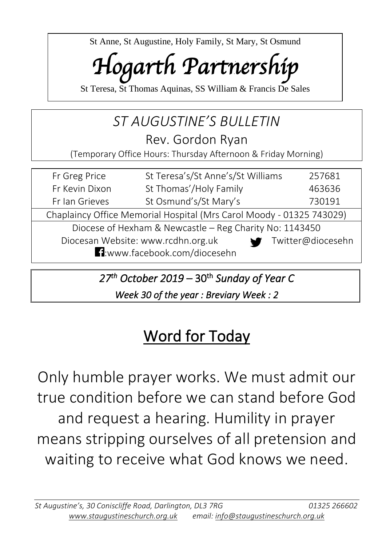St Anne, St Augustine, Holy Family, St Mary, St Osmund

# *Hogarth Partnership*

St Teresa, St Thomas Aquinas, SS William & Francis De Sales

# *ST AUGUSTINE'S BULLETIN*

Rev. Gordon Ryan

(Temporary Office Hours: Thursday Afternoon & Friday Morning)

| Fr Greg Price                                                                    | St Teresa's/St Anne's/St Williams | 257681 |  |  |
|----------------------------------------------------------------------------------|-----------------------------------|--------|--|--|
| Fr Kevin Dixon                                                                   | St Thomas'/Holy Family            | 463636 |  |  |
| Fr Ian Grieves                                                                   | St Osmund's/St Mary's<br>730191   |        |  |  |
| Chaplaincy Office Memorial Hospital (Mrs Carol Moody - 01325 743029)             |                                   |        |  |  |
| Diocese of Hexham & Newcastle – Reg Charity No: 1143450                          |                                   |        |  |  |
| Diocesan Website: www.rcdhn.org.uk<br>Twitter@diocesehn<br>$\blacktriangleright$ |                                   |        |  |  |
| H:www.facebook.com/diocesehn                                                     |                                   |        |  |  |

*27 th October 2019 –* 30th *Sunday of Year C* 

*Week 30 of the year : Breviary Week : 2*

# Word for Today

Only humble prayer works. We must admit our true condition before we can stand before God and request a hearing. Humility in prayer means stripping ourselves of all pretension and waiting to receive what God knows we need.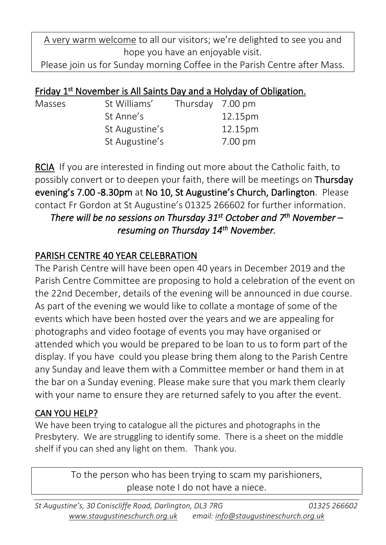A very warm welcome to all our visitors; we're delighted to see you and hope you have an enjoyable visit.

Please join us for Sunday morning Coffee in the Parish Centre after Mass.

# Friday 1<sup>st</sup> November is All Saints Day and a Holyday of Obligation.

- 
- Masses St Williams' Thursday 7.00 pm St Anne's 12.15pm St Augustine's 12.15pm St Augustine's 7.00 pm

RCIA If you are interested in finding out more about the Catholic faith, to possibly convert or to deepen your faith, there will be meetings on Thursday evening's 7.00 -8.30pm at No 10, St Augustine's Church, Darlington. Please contact Fr Gordon at St Augustine's 01325 266602 for further information. *There will be no sessions on Thursday 31st October and 7 th November – resuming on Thursday 14th November.*

# PARISH CENTRE 40 YEAR CELEBRATION

The Parish Centre will have been open 40 years in December 2019 and the Parish Centre Committee are proposing to hold a celebration of the event on the 22nd December, details of the evening will be announced in due course. As part of the evening we would like to collate a montage of some of the events which have been hosted over the years and we are appealing for photographs and video footage of events you may have organised or attended which you would be prepared to be loan to us to form part of the display. If you have could you please bring them along to the Parish Centre any Sunday and leave them with a Committee member or hand them in at the bar on a Sunday evening. Please make sure that you mark them clearly with your name to ensure they are returned safely to you after the event.

# CAN YOU HELP?

We have been trying to catalogue all the pictures and photographs in the Presbytery. We are struggling to identify some. There is a sheet on the middle shelf if you can shed any light on them. Thank you.

> To the person who has been trying to scam my parishioners, please note I do not have a niece.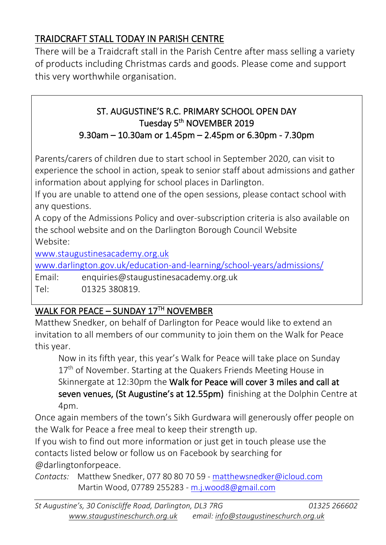# TRAIDCRAFT STALL TODAY IN PARISH CENTRE

There will be a Traidcraft stall in the Parish Centre after mass selling a variety of products including Christmas cards and goods. Please come and support this very worthwhile organisation.

#### ST. AUGUSTINE'S R.C. PRIMARY SCHOOL OPEN DAY Tuesday 5<sup>th</sup> NOVEMBER 2019 9.30am – 10.30am or 1.45pm – 2.45pm or 6.30pm - 7.30pm

Parents/carers of children due to start school in September 2020, can visit to experience the school in action, speak to senior staff about admissions and gather information about applying for school places in Darlington.

If you are unable to attend one of the open sessions, please contact school with any questions.

A copy of the Admissions Policy and over-subscription criteria is also available on the school website and on the Darlington Borough Council Website Website:

[www.staugustinesacademy.org.uk](http://www.staugustinesacademy.org.uk/)

[www.darlington.gov.uk/education-and-learning/school-years/admissions/](http://www.darlington.gov.uk/education-and-learning/school-years/admissions/)

Email: enquiries@staugustinesacademy.org.uk Tel: 01325 380819.

# WALK FOR PEACE – SUNDAY 17TH NOVEMBER

Matthew Snedker, on behalf of Darlington for Peace would like to extend an invitation to all members of our community to join them on the Walk for Peace this year.

Now in its fifth year, this year's Walk for Peace will take place on Sunday 17<sup>th</sup> of November. Starting at the Quakers Friends Meeting House in Skinnergate at 12:30pm the Walk for Peace will cover 3 miles and call at seven venues, (St Augustine's at 12.55pm) finishing at the Dolphin Centre at 4pm.

Once again members of the town's Sikh Gurdwara will generously offer people on the Walk for Peace a free meal to keep their strength up.

If you wish to find out more information or just get in touch please use the contacts listed below or follow us on Facebook by searching for @darlingtonforpeace.

*Contacts:* Matthew Snedker, 077 80 80 70 59 - [matthewsnedker@icloud.com](mailto:matthewsnedker@icloud.com) Martin Wood, 07789 255283 - [m.j.wood8@gmail.com](mailto:m.j.wood8@gmail.com)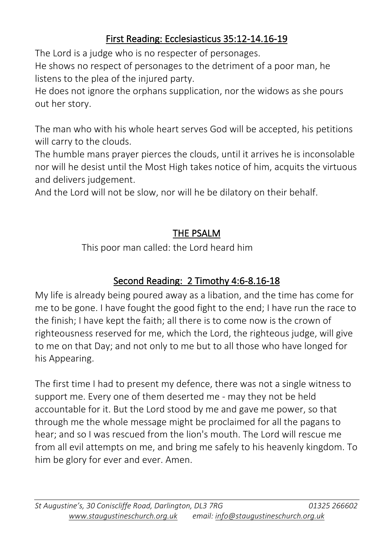# First Reading: Ecclesiasticus 35:12-14.16-19

The Lord is a judge who is no respecter of personages.

He shows no respect of personages to the detriment of a poor man, he listens to the plea of the injured party.

He does not ignore the orphans supplication, nor the widows as she pours out her story.

The man who with his whole heart serves God will be accepted, his petitions will carry to the clouds.

The humble mans prayer pierces the clouds, until it arrives he is inconsolable nor will he desist until the Most High takes notice of him, acquits the virtuous and delivers judgement.

And the Lord will not be slow, nor will he be dilatory on their behalf.

# THE PSALM

This poor man called: the Lord heard him

# Second Reading: 2 Timothy 4:6-8.16-18

My life is already being poured away as a libation, and the time has come for me to be gone. I have fought the good fight to the end; I have run the race to the finish; I have kept the faith; all there is to come now is the crown of righteousness reserved for me, which the Lord, the righteous judge, will give to me on that Day; and not only to me but to all those who have longed for his Appearing.

The first time I had to present my defence, there was not a single witness to support me. Every one of them deserted me - may they not be held accountable for it. But the Lord stood by me and gave me power, so that through me the whole message might be proclaimed for all the pagans to hear; and so I was rescued from the lion's mouth. The Lord will rescue me from all evil attempts on me, and bring me safely to his heavenly kingdom. To him be glory for ever and ever. Amen.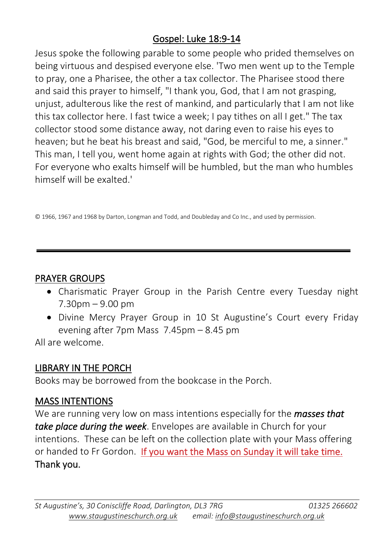### Gospel: Luke 18:9-14

Jesus spoke the following parable to some people who prided themselves on being virtuous and despised everyone else. 'Two men went up to the Temple to pray, one a Pharisee, the other a tax collector. The Pharisee stood there and said this prayer to himself, "I thank you, God, that I am not grasping, unjust, adulterous like the rest of mankind, and particularly that I am not like this tax collector here. I fast twice a week; I pay tithes on all I get." The tax collector stood some distance away, not daring even to raise his eyes to heaven; but he beat his breast and said, "God, be merciful to me, a sinner." This man, I tell you, went home again at rights with God; the other did not. For everyone who exalts himself will be humbled, but the man who humbles himself will be exalted.'

© 1966, 1967 and 1968 by Darton, Longman and Todd, and Doubleday and Co Inc., and used by permission.

#### PRAYER GROUPS

- Charismatic Prayer Group in the Parish Centre every Tuesday night 7.30pm – 9.00 pm
- Divine Mercy Prayer Group in 10 St Augustine's Court every Friday evening after 7pm Mass 7.45pm – 8.45 pm

All are welcome.

#### LIBRARY IN THE PORCH

Books may be borrowed from the bookcase in the Porch.

#### MASS INTENTIONS

We are running very low on mass intentions especially for the *masses that take place during the week*. Envelopes are available in Church for your intentions. These can be left on the collection plate with your Mass offering or handed to Fr Gordon. If you want the Mass on Sunday it will take time. Thank you.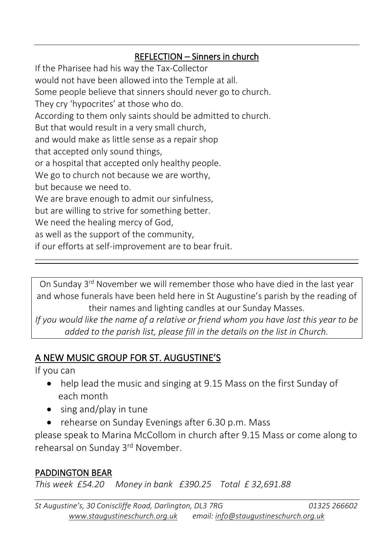#### REFLECTION – Sinners in church

If the Pharisee had his way the Tax-Collector would not have been allowed into the Temple at all. Some people believe that sinners should never go to church. They cry 'hypocrites' at those who do. According to them only saints should be admitted to church. But that would result in a very small church, and would make as little sense as a repair shop that accepted only sound things, or a hospital that accepted only healthy people. We go to church not because we are worthy, but because we need to. We are brave enough to admit our sinfulness, but are willing to strive for something better. We need the healing mercy of God, as well as the support of the community, if our efforts at self-improvement are to bear fruit.

On Sunday 3<sup>rd</sup> November we will remember those who have died in the last year and whose funerals have been held here in St Augustine's parish by the reading of their names and lighting candles at our Sunday Masses.

*If you would like the name of a relative or friend whom you have lost this year to be added to the parish list, please fill in the details on the list in Church.*

#### A NEW MUSIC GROUP FOR ST. AUGUSTINE'S

If you can

- help lead the music and singing at 9.15 Mass on the first Sunday of each month
- sing and/play in tune
- rehearse on Sunday Evenings after 6.30 p.m. Mass

please speak to Marina McCollom in church after 9.15 Mass or come along to rehearsal on Sunday 3rd November.

#### PADDINGTON BEAR

*This week £54.20 Money in bank £390.25 Total £ 32,691.88*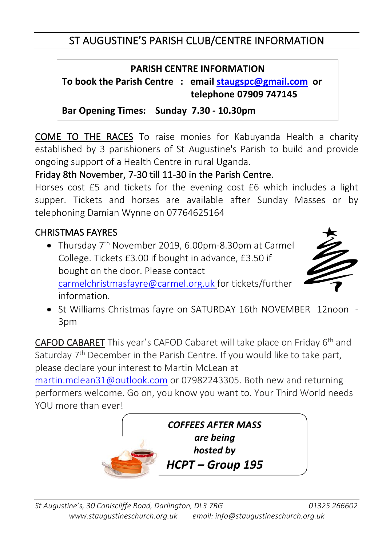#### **PARISH CENTRE INFORMATION**

**To book the Parish Centre : email [staugspc@gmail.com](mailto:staugspc@gmail.com) or telephone 07909 747145**

**Bar Opening Times: Sunday 7.30 - 10.30pm**

COME TO THE RACES To raise monies for Kabuyanda Health a charity established by 3 parishioners of St Augustine's Parish to build and provide ongoing support of a Health Centre in rural Uganda.

Friday 8th November, 7-30 till 11-30 in the Parish Centre.

Horses cost £5 and tickets for the evening cost £6 which includes a light supper. Tickets and horses are available after Sunday Masses or by telephoning Damian Wynne on 07764625164

#### CHRISTMAS FAYRES

• Thursday 7<sup>th</sup> November 2019, 6.00pm-8.30pm at Carmel College. Tickets £3.00 if bought in advance, £3.50 if bought on the door. Please contact [carmelchristmasfayre@carmel.org.uk](mailto:carmelchristmasfayre@carmel.org.uk) for tickets/further information.



• St Williams Christmas fayre on SATURDAY 16th NOVEMBER 12noon - 3pm

CAFOD CABARET This year's CAFOD Cabaret will take place on Friday 6th and Saturday 7<sup>th</sup> December in the Parish Centre. If you would like to take part, please declare your interest to Martin McLean at

[martin.mclean31@outlook.com](mailto:martin.mclean31@outlook.com) or 07982243305. Both new and returning performers welcome. Go on, you know you want to. Your Third World needs YOU more than ever!